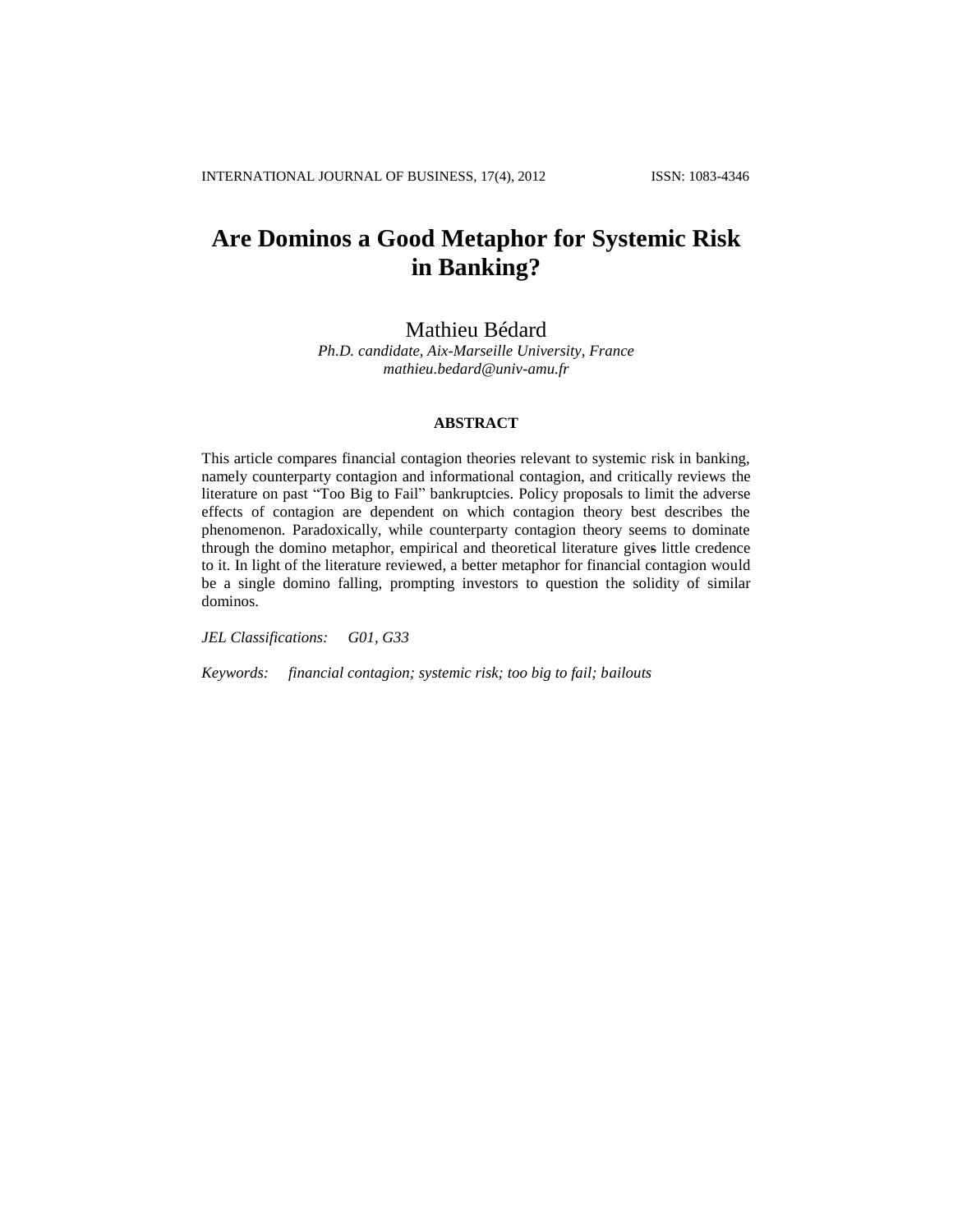# **Are Dominos a Good Metaphor for Systemic Risk in Banking?**

## Mathieu Bédard

*Ph.D. candidate, Aix-Marseille University, France mathieu.bedard@univ-amu.fr*

## **ABSTRACT**

This article compares financial contagion theories relevant to systemic risk in banking, namely counterparty contagion and informational contagion, and critically reviews the literature on past "Too Big to Fail" bankruptcies. Policy proposals to limit the adverse effects of contagion are dependent on which contagion theory best describes the phenomenon. Paradoxically, while counterparty contagion theory seems to dominate through the domino metaphor, empirical and theoretical literature gives little credence to it. In light of the literature reviewed, a better metaphor for financial contagion would be a single domino falling, prompting investors to question the solidity of similar dominos.

*JEL Classifications: G01, G33*

*Keywords: financial contagion; systemic risk; too big to fail; bailouts*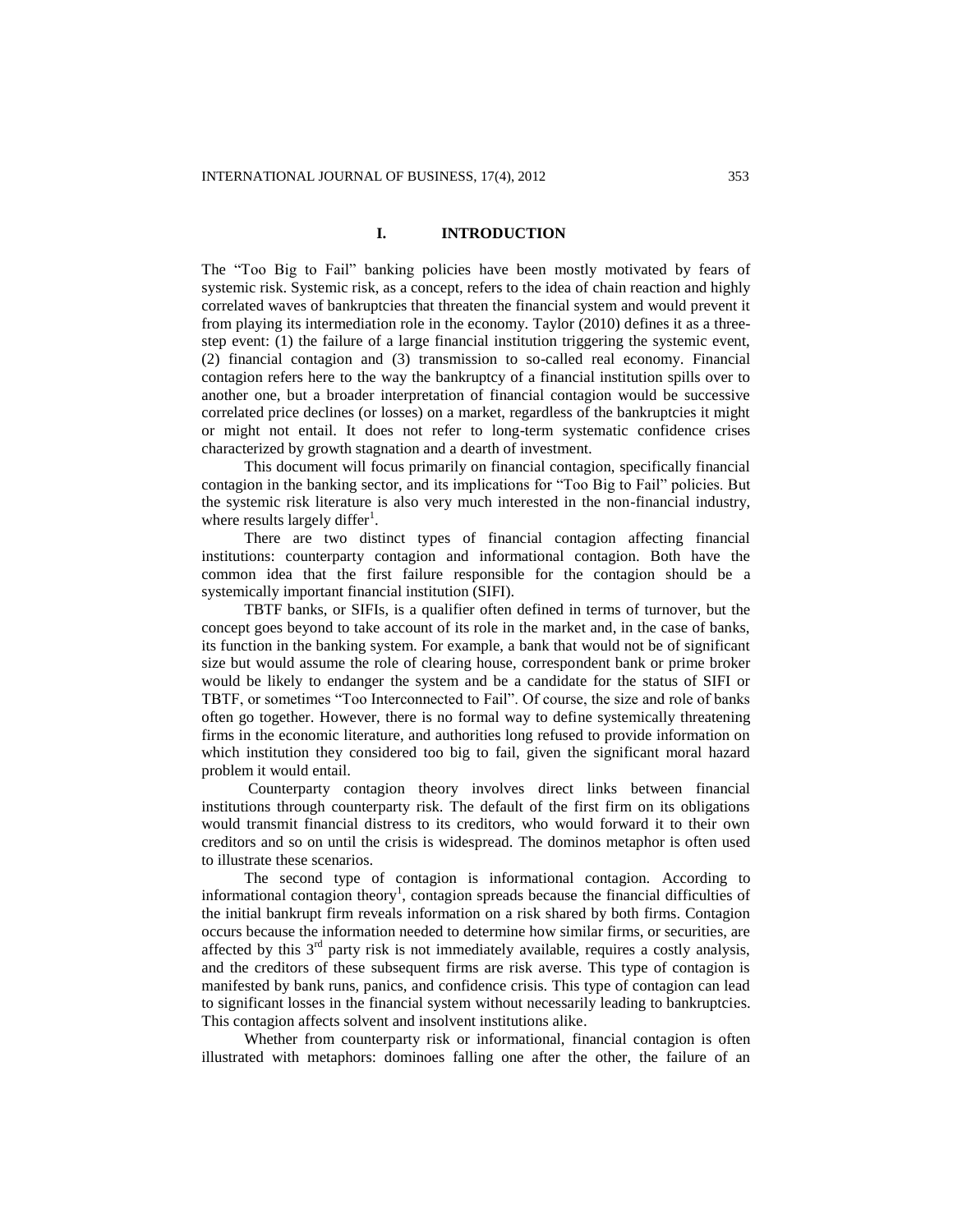## **I. INTRODUCTION**

The "Too Big to Fail" banking policies have been mostly motivated by fears of systemic risk. Systemic risk, as a concept, refers to the idea of chain reaction and highly correlated waves of bankruptcies that threaten the financial system and would prevent it from playing its intermediation role in the economy. Taylor (2010) defines it as a threestep event: (1) the failure of a large financial institution triggering the systemic event, (2) financial contagion and (3) transmission to so-called real economy. Financial contagion refers here to the way the bankruptcy of a financial institution spills over to another one, but a broader interpretation of financial contagion would be successive correlated price declines (or losses) on a market, regardless of the bankruptcies it might or might not entail. It does not refer to long-term systematic confidence crises characterized by growth stagnation and a dearth of investment.

This document will focus primarily on financial contagion, specifically financial contagion in the banking sector, and its implications for "Too Big to Fail" policies. But the systemic risk literature is also very much interested in the non-financial industry, where results largely differ<sup>1</sup>.

There are two distinct types of financial contagion affecting financial institutions: counterparty contagion and informational contagion. Both have the common idea that the first failure responsible for the contagion should be a systemically important financial institution (SIFI).

TBTF banks, or SIFIs, is a qualifier often defined in terms of turnover, but the concept goes beyond to take account of its role in the market and, in the case of banks, its function in the banking system. For example, a bank that would not be of significant size but would assume the role of clearing house, correspondent bank or prime broker would be likely to endanger the system and be a candidate for the status of SIFI or TBTF, or sometimes "Too Interconnected to Fail". Of course, the size and role of banks often go together. However, there is no formal way to define systemically threatening firms in the economic literature, and authorities long refused to provide information on which institution they considered too big to fail, given the significant moral hazard problem it would entail.

Counterparty contagion theory involves direct links between financial institutions through counterparty risk. The default of the first firm on its obligations would transmit financial distress to its creditors, who would forward it to their own creditors and so on until the crisis is widespread. The dominos metaphor is often used to illustrate these scenarios.

The second type of contagion is informational contagion. According to informational contagion theory<sup>1</sup>, contagion spreads because the financial difficulties of the initial bankrupt firm reveals information on a risk shared by both firms. Contagion occurs because the information needed to determine how similar firms, or securities, are affected by this  $3<sup>rd</sup>$  party risk is not immediately available, requires a costly analysis, and the creditors of these subsequent firms are risk averse. This type of contagion is manifested by bank runs, panics, and confidence crisis. This type of contagion can lead to significant losses in the financial system without necessarily leading to bankruptcies. This contagion affects solvent and insolvent institutions alike.

Whether from counterparty risk or informational, financial contagion is often illustrated with metaphors: dominoes falling one after the other, the failure of an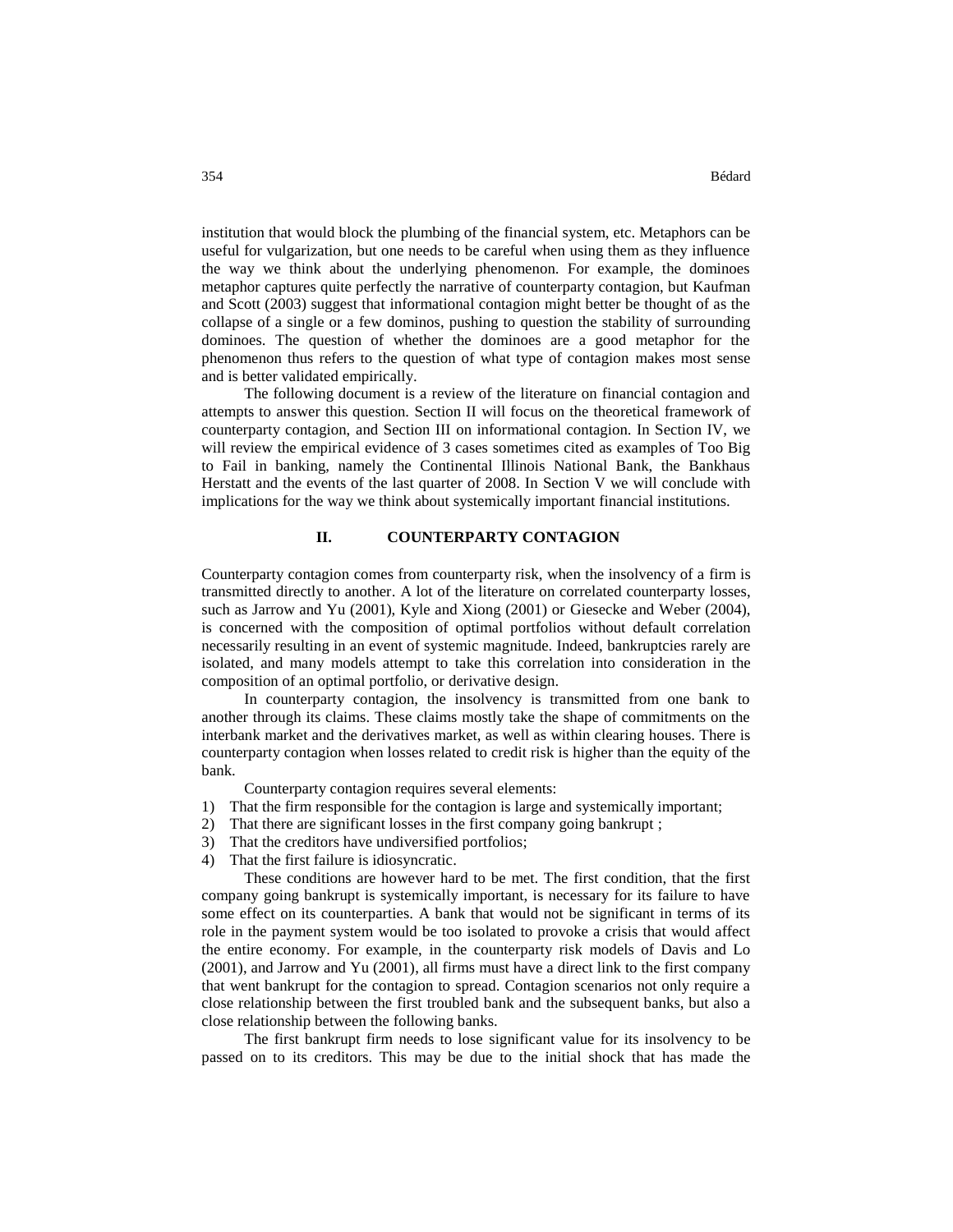institution that would block the plumbing of the financial system, etc. Metaphors can be useful for vulgarization, but one needs to be careful when using them as they influence the way we think about the underlying phenomenon. For example, the dominoes metaphor captures quite perfectly the narrative of counterparty contagion, but Kaufman and Scott (2003) suggest that informational contagion might better be thought of as the collapse of a single or a few dominos, pushing to question the stability of surrounding dominoes. The question of whether the dominoes are a good metaphor for the phenomenon thus refers to the question of what type of contagion makes most sense and is better validated empirically.

The following document is a review of the literature on financial contagion and attempts to answer this question. Section II will focus on the theoretical framework of counterparty contagion, and Section III on informational contagion. In Section IV, we will review the empirical evidence of 3 cases sometimes cited as examples of Too Big to Fail in banking, namely the Continental Illinois National Bank, the Bankhaus Herstatt and the events of the last quarter of 2008. In Section V we will conclude with implications for the way we think about systemically important financial institutions.

## **II. COUNTERPARTY CONTAGION**

Counterparty contagion comes from counterparty risk, when the insolvency of a firm is transmitted directly to another. A lot of the literature on correlated counterparty losses, such as Jarrow and Yu (2001), Kyle and Xiong (2001) or Giesecke and Weber (2004), is concerned with the composition of optimal portfolios without default correlation necessarily resulting in an event of systemic magnitude. Indeed, bankruptcies rarely are isolated, and many models attempt to take this correlation into consideration in the composition of an optimal portfolio, or derivative design.

In counterparty contagion, the insolvency is transmitted from one bank to another through its claims. These claims mostly take the shape of commitments on the interbank market and the derivatives market, as well as within clearing houses. There is counterparty contagion when losses related to credit risk is higher than the equity of the bank.

Counterparty contagion requires several elements:

- 1) That the firm responsible for the contagion is large and systemically important;
- 2) That there are significant losses in the first company going bankrupt ;
- 3) That the creditors have undiversified portfolios;
- 4) That the first failure is idiosyncratic.

These conditions are however hard to be met. The first condition, that the first company going bankrupt is systemically important, is necessary for its failure to have some effect on its counterparties. A bank that would not be significant in terms of its role in the payment system would be too isolated to provoke a crisis that would affect the entire economy. For example, in the counterparty risk models of Davis and Lo (2001), and Jarrow and Yu (2001), all firms must have a direct link to the first company that went bankrupt for the contagion to spread. Contagion scenarios not only require a close relationship between the first troubled bank and the subsequent banks, but also a close relationship between the following banks.

The first bankrupt firm needs to lose significant value for its insolvency to be passed on to its creditors. This may be due to the initial shock that has made the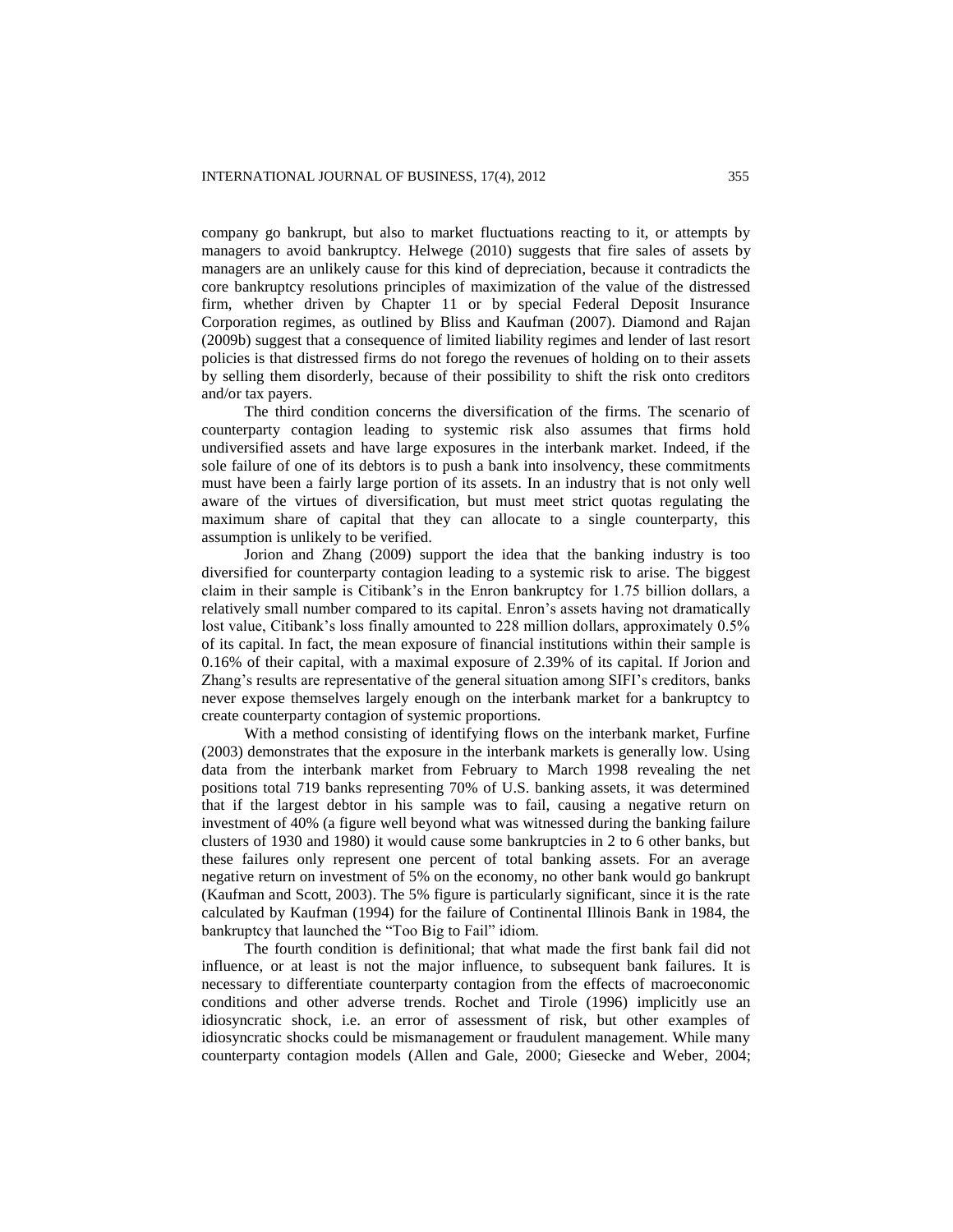company go bankrupt, but also to market fluctuations reacting to it, or attempts by managers to avoid bankruptcy. Helwege (2010) suggests that fire sales of assets by managers are an unlikely cause for this kind of depreciation, because it contradicts the core bankruptcy resolutions principles of maximization of the value of the distressed firm, whether driven by Chapter 11 or by special Federal Deposit Insurance Corporation regimes, as outlined by Bliss and Kaufman (2007). Diamond and Rajan (2009b) suggest that a consequence of limited liability regimes and lender of last resort policies is that distressed firms do not forego the revenues of holding on to their assets by selling them disorderly, because of their possibility to shift the risk onto creditors and/or tax payers.

The third condition concerns the diversification of the firms. The scenario of counterparty contagion leading to systemic risk also assumes that firms hold undiversified assets and have large exposures in the interbank market. Indeed, if the sole failure of one of its debtors is to push a bank into insolvency, these commitments must have been a fairly large portion of its assets. In an industry that is not only well aware of the virtues of diversification, but must meet strict quotas regulating the maximum share of capital that they can allocate to a single counterparty, this assumption is unlikely to be verified.

Jorion and Zhang (2009) support the idea that the banking industry is too diversified for counterparty contagion leading to a systemic risk to arise. The biggest claim in their sample is Citibank's in the Enron bankruptcy for 1.75 billion dollars, a relatively small number compared to its capital. Enron's assets having not dramatically lost value, Citibank's loss finally amounted to 228 million dollars, approximately 0.5% of its capital. In fact, the mean exposure of financial institutions within their sample is 0.16% of their capital, with a maximal exposure of 2.39% of its capital. If Jorion and Zhang's results are representative of the general situation among SIFI's creditors, banks never expose themselves largely enough on the interbank market for a bankruptcy to create counterparty contagion of systemic proportions.

With a method consisting of identifying flows on the interbank market, Furfine (2003) demonstrates that the exposure in the interbank markets is generally low. Using data from the interbank market from February to March 1998 revealing the net positions total 719 banks representing 70% of U.S. banking assets, it was determined that if the largest debtor in his sample was to fail, causing a negative return on investment of 40% (a figure well beyond what was witnessed during the banking failure clusters of 1930 and 1980) it would cause some bankruptcies in 2 to 6 other banks, but these failures only represent one percent of total banking assets. For an average negative return on investment of 5% on the economy, no other bank would go bankrupt (Kaufman and Scott, 2003). The 5% figure is particularly significant, since it is the rate calculated by Kaufman (1994) for the failure of Continental Illinois Bank in 1984, the bankruptcy that launched the "Too Big to Fail" idiom.

The fourth condition is definitional; that what made the first bank fail did not influence, or at least is not the major influence, to subsequent bank failures. It is necessary to differentiate counterparty contagion from the effects of macroeconomic conditions and other adverse trends. Rochet and Tirole (1996) implicitly use an idiosyncratic shock, i.e. an error of assessment of risk, but other examples of idiosyncratic shocks could be mismanagement or fraudulent management. While many counterparty contagion models (Allen and Gale, 2000; Giesecke and Weber, 2004;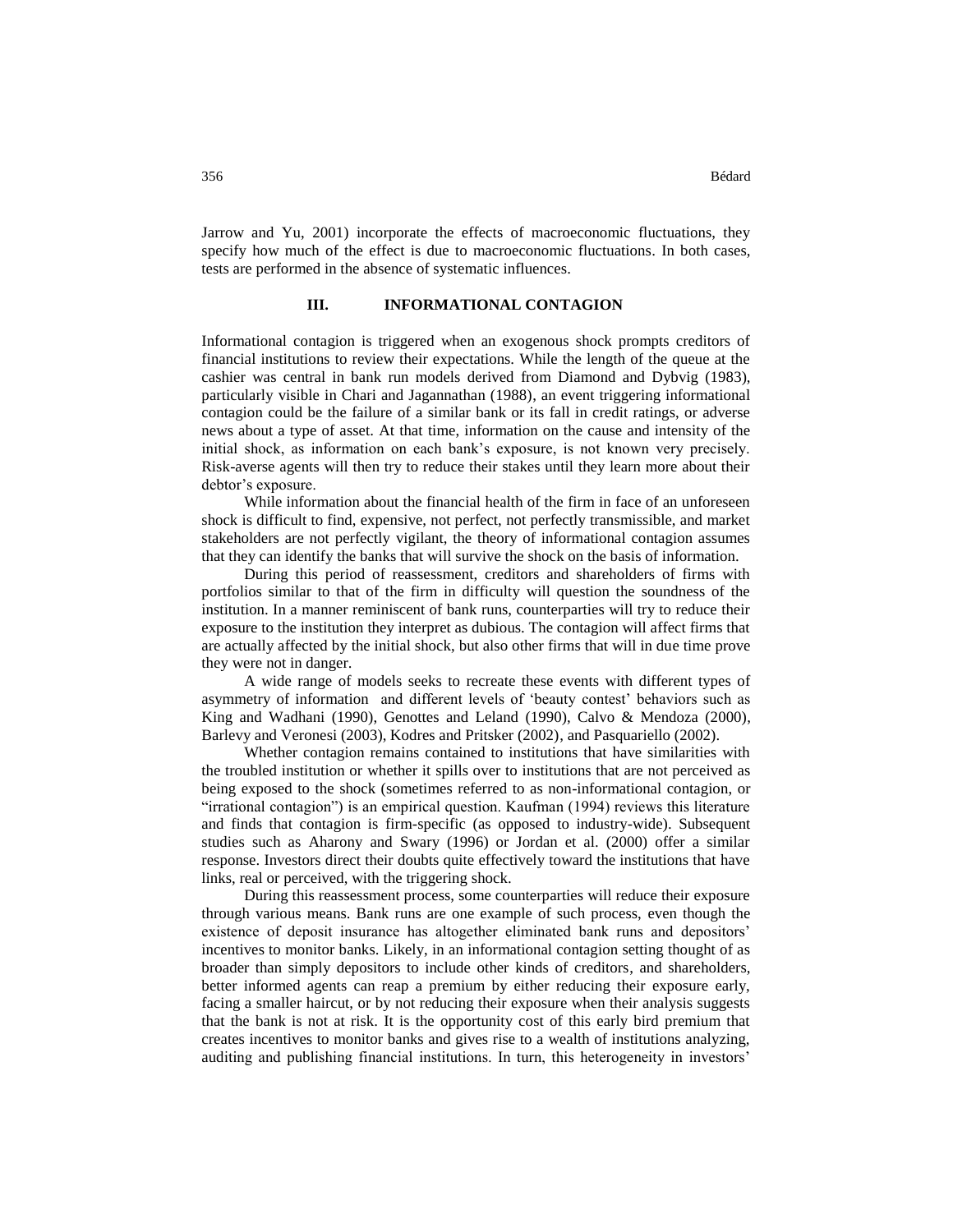Jarrow and Yu, 2001) incorporate the effects of macroeconomic fluctuations, they specify how much of the effect is due to macroeconomic fluctuations. In both cases, tests are performed in the absence of systematic influences.

## **III. INFORMATIONAL CONTAGION**

Informational contagion is triggered when an exogenous shock prompts creditors of financial institutions to review their expectations. While the length of the queue at the cashier was central in bank run models derived from Diamond and Dybvig (1983), particularly visible in Chari and Jagannathan (1988), an event triggering informational contagion could be the failure of a similar bank or its fall in credit ratings, or adverse news about a type of asset. At that time, information on the cause and intensity of the initial shock, as information on each bank's exposure, is not known very precisely. Risk-averse agents will then try to reduce their stakes until they learn more about their debtor's exposure.

While information about the financial health of the firm in face of an unforeseen shock is difficult to find, expensive, not perfect, not perfectly transmissible, and market stakeholders are not perfectly vigilant, the theory of informational contagion assumes that they can identify the banks that will survive the shock on the basis of information.

During this period of reassessment, creditors and shareholders of firms with portfolios similar to that of the firm in difficulty will question the soundness of the institution. In a manner reminiscent of bank runs, counterparties will try to reduce their exposure to the institution they interpret as dubious. The contagion will affect firms that are actually affected by the initial shock, but also other firms that will in due time prove they were not in danger.

A wide range of models seeks to recreate these events with different types of asymmetry of information and different levels of 'beauty contest' behaviors such as King and Wadhani (1990), Genottes and Leland (1990), Calvo & Mendoza (2000), Barlevy and Veronesi (2003), Kodres and Pritsker (2002), and Pasquariello (2002).

Whether contagion remains contained to institutions that have similarities with the troubled institution or whether it spills over to institutions that are not perceived as being exposed to the shock (sometimes referred to as non-informational contagion, or "irrational contagion") is an empirical question. Kaufman (1994) reviews this literature and finds that contagion is firm-specific (as opposed to industry-wide). Subsequent studies such as Aharony and Swary (1996) or Jordan et al. (2000) offer a similar response. Investors direct their doubts quite effectively toward the institutions that have links, real or perceived, with the triggering shock.

During this reassessment process, some counterparties will reduce their exposure through various means. Bank runs are one example of such process, even though the existence of deposit insurance has altogether eliminated bank runs and depositors' incentives to monitor banks. Likely, in an informational contagion setting thought of as broader than simply depositors to include other kinds of creditors, and shareholders, better informed agents can reap a premium by either reducing their exposure early, facing a smaller haircut, or by not reducing their exposure when their analysis suggests that the bank is not at risk. It is the opportunity cost of this early bird premium that creates incentives to monitor banks and gives rise to a wealth of institutions analyzing, auditing and publishing financial institutions. In turn, this heterogeneity in investors'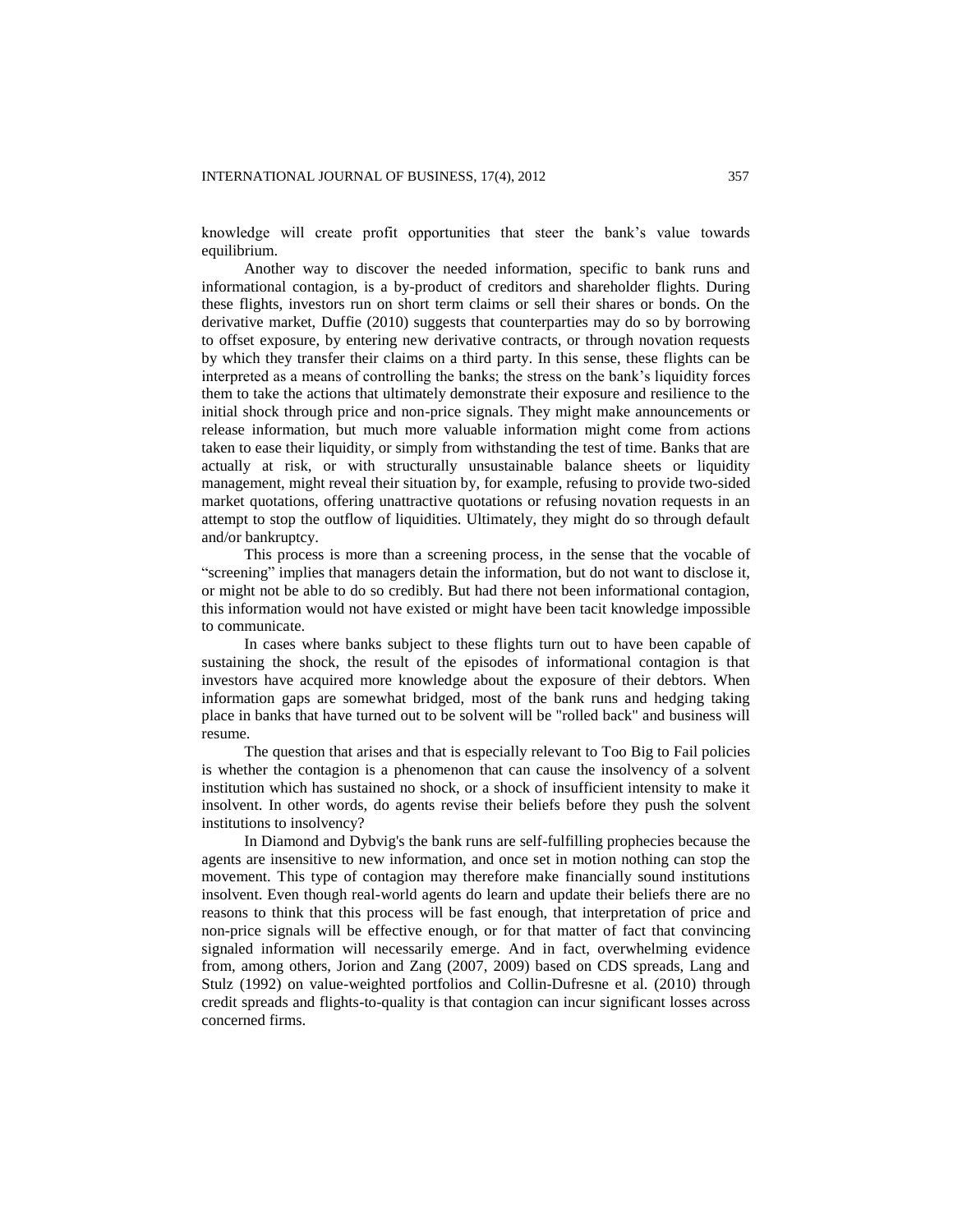knowledge will create profit opportunities that steer the bank's value towards equilibrium.

Another way to discover the needed information, specific to bank runs and informational contagion, is a by-product of creditors and shareholder flights. During these flights, investors run on short term claims or sell their shares or bonds. On the derivative market, Duffie (2010) suggests that counterparties may do so by borrowing to offset exposure, by entering new derivative contracts, or through novation requests by which they transfer their claims on a third party. In this sense, these flights can be interpreted as a means of controlling the banks; the stress on the bank's liquidity forces them to take the actions that ultimately demonstrate their exposure and resilience to the initial shock through price and non-price signals. They might make announcements or release information, but much more valuable information might come from actions taken to ease their liquidity, or simply from withstanding the test of time. Banks that are actually at risk, or with structurally unsustainable balance sheets or liquidity management, might reveal their situation by, for example, refusing to provide two-sided market quotations, offering unattractive quotations or refusing novation requests in an attempt to stop the outflow of liquidities. Ultimately, they might do so through default and/or bankruptcy.

This process is more than a screening process, in the sense that the vocable of "screening" implies that managers detain the information, but do not want to disclose it, or might not be able to do so credibly. But had there not been informational contagion, this information would not have existed or might have been tacit knowledge impossible to communicate.

In cases where banks subject to these flights turn out to have been capable of sustaining the shock, the result of the episodes of informational contagion is that investors have acquired more knowledge about the exposure of their debtors. When information gaps are somewhat bridged, most of the bank runs and hedging taking place in banks that have turned out to be solvent will be "rolled back" and business will resume.

The question that arises and that is especially relevant to Too Big to Fail policies is whether the contagion is a phenomenon that can cause the insolvency of a solvent institution which has sustained no shock, or a shock of insufficient intensity to make it insolvent. In other words, do agents revise their beliefs before they push the solvent institutions to insolvency?

In Diamond and Dybvig's the bank runs are self-fulfilling prophecies because the agents are insensitive to new information, and once set in motion nothing can stop the movement. This type of contagion may therefore make financially sound institutions insolvent. Even though real-world agents do learn and update their beliefs there are no reasons to think that this process will be fast enough, that interpretation of price and non-price signals will be effective enough, or for that matter of fact that convincing signaled information will necessarily emerge. And in fact, overwhelming evidence from, among others, Jorion and Zang (2007, 2009) based on CDS spreads, Lang and Stulz (1992) on value-weighted portfolios and Collin-Dufresne et al. (2010) through credit spreads and flights-to-quality is that contagion can incur significant losses across concerned firms.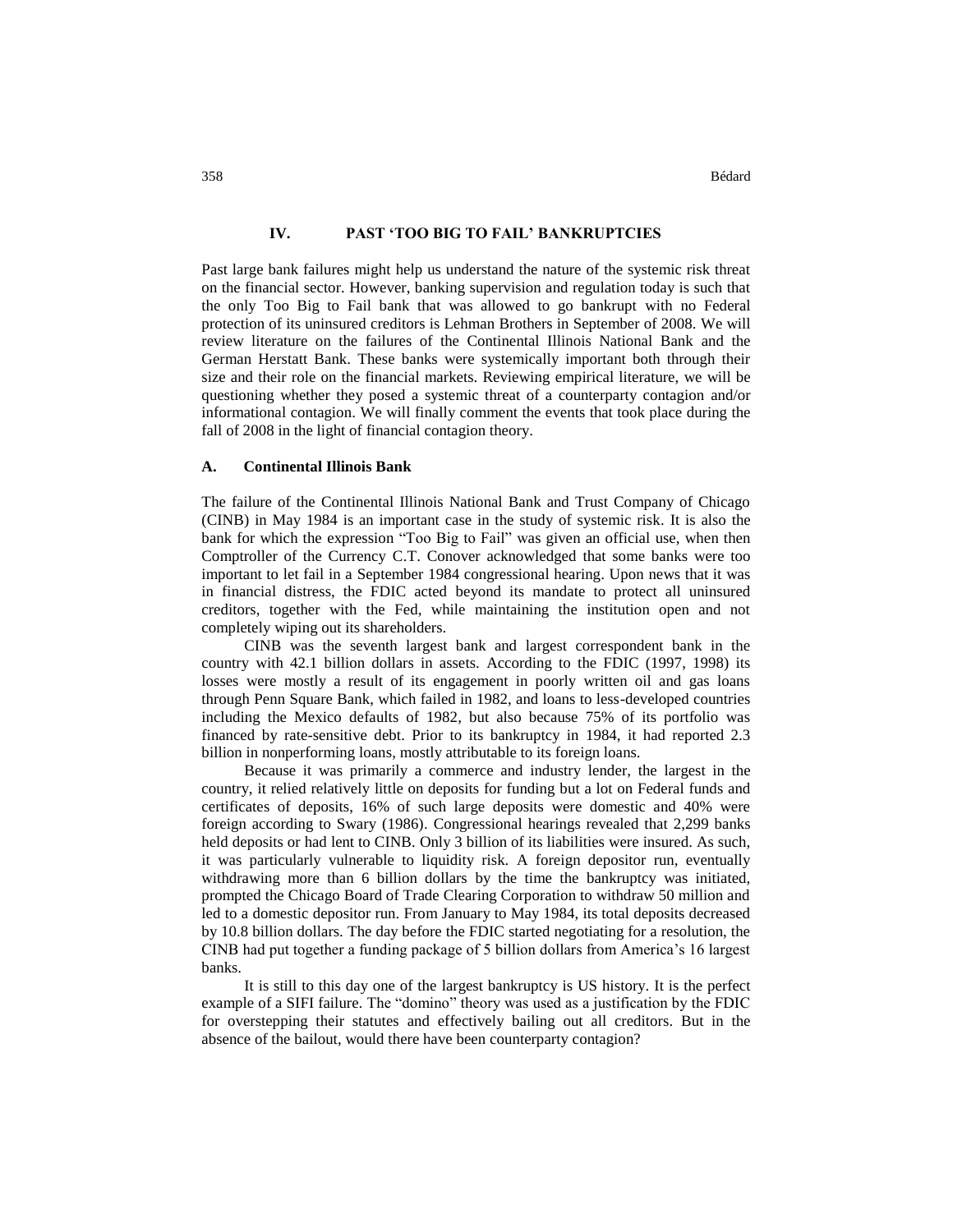## **IV. PAST 'TOO BIG TO FAIL' BANKRUPTCIES**

Past large bank failures might help us understand the nature of the systemic risk threat on the financial sector. However, banking supervision and regulation today is such that the only Too Big to Fail bank that was allowed to go bankrupt with no Federal protection of its uninsured creditors is Lehman Brothers in September of 2008. We will review literature on the failures of the Continental Illinois National Bank and the German Herstatt Bank. These banks were systemically important both through their size and their role on the financial markets. Reviewing empirical literature, we will be questioning whether they posed a systemic threat of a counterparty contagion and/or informational contagion. We will finally comment the events that took place during the fall of 2008 in the light of financial contagion theory.

#### **A. Continental Illinois Bank**

The failure of the Continental Illinois National Bank and Trust Company of Chicago (CINB) in May 1984 is an important case in the study of systemic risk. It is also the bank for which the expression "Too Big to Fail" was given an official use, when then Comptroller of the Currency C.T. Conover acknowledged that some banks were too important to let fail in a September 1984 congressional hearing. Upon news that it was in financial distress, the FDIC acted beyond its mandate to protect all uninsured creditors, together with the Fed, while maintaining the institution open and not completely wiping out its shareholders.

CINB was the seventh largest bank and largest correspondent bank in the country with 42.1 billion dollars in assets. According to the FDIC (1997, 1998) its losses were mostly a result of its engagement in poorly written oil and gas loans through Penn Square Bank, which failed in 1982, and loans to less-developed countries including the Mexico defaults of 1982, but also because 75% of its portfolio was financed by rate-sensitive debt. Prior to its bankruptcy in 1984, it had reported 2.3 billion in nonperforming loans, mostly attributable to its foreign loans.

Because it was primarily a commerce and industry lender, the largest in the country, it relied relatively little on deposits for funding but a lot on Federal funds and certificates of deposits, 16% of such large deposits were domestic and 40% were foreign according to Swary (1986). Congressional hearings revealed that 2,299 banks held deposits or had lent to CINB. Only 3 billion of its liabilities were insured. As such, it was particularly vulnerable to liquidity risk. A foreign depositor run, eventually withdrawing more than 6 billion dollars by the time the bankruptcy was initiated, prompted the Chicago Board of Trade Clearing Corporation to withdraw 50 million and led to a domestic depositor run. From January to May 1984, its total deposits decreased by 10.8 billion dollars. The day before the FDIC started negotiating for a resolution, the CINB had put together a funding package of 5 billion dollars from America's 16 largest banks.

It is still to this day one of the largest bankruptcy is US history. It is the perfect example of a SIFI failure. The "domino" theory was used as a justification by the FDIC for overstepping their statutes and effectively bailing out all creditors. But in the absence of the bailout, would there have been counterparty contagion?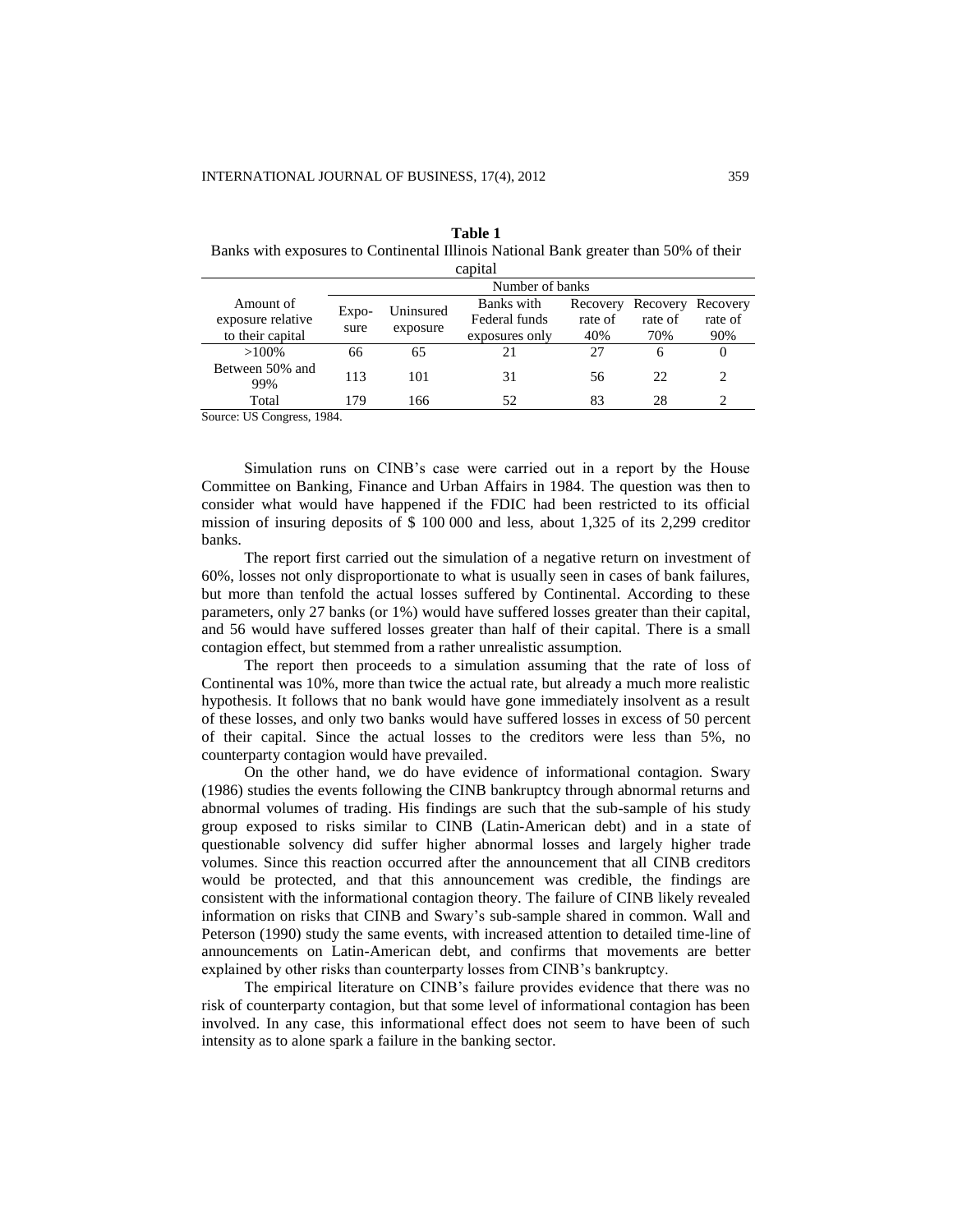| capital                |                 |           |                |          |          |          |
|------------------------|-----------------|-----------|----------------|----------|----------|----------|
|                        | Number of banks |           |                |          |          |          |
| Amount of              |                 | Uninsured | Banks with     | Recovery | Recovery | Recovery |
| exposure relative      | Expo-<br>sure   | exposure  | Federal funds  | rate of  | rate of  | rate of  |
| to their capital       |                 |           | exposures only | 40%      | 70%      | 90%      |
| $>100\%$               | 66              | 65        | 21             | 27       | 6        | 0        |
| Between 50% and<br>99% | 113             | 101       | 31             | 56       | 22       |          |
| Total                  | 179             | 166       | 52             | 83       | 28       |          |

**Table 1**

Banks with exposures to Continental Illinois National Bank greater than 50% of their capital

Source: US Congress, 1984.

Simulation runs on CINB's case were carried out in a report by the House Committee on Banking, Finance and Urban Affairs in 1984. The question was then to consider what would have happened if the FDIC had been restricted to its official mission of insuring deposits of \$ 100 000 and less, about 1,325 of its 2,299 creditor banks.

The report first carried out the simulation of a negative return on investment of 60%, losses not only disproportionate to what is usually seen in cases of bank failures, but more than tenfold the actual losses suffered by Continental. According to these parameters, only 27 banks (or 1%) would have suffered losses greater than their capital, and 56 would have suffered losses greater than half of their capital. There is a small contagion effect, but stemmed from a rather unrealistic assumption.

The report then proceeds to a simulation assuming that the rate of loss of Continental was 10%, more than twice the actual rate, but already a much more realistic hypothesis. It follows that no bank would have gone immediately insolvent as a result of these losses, and only two banks would have suffered losses in excess of 50 percent of their capital. Since the actual losses to the creditors were less than 5%, no counterparty contagion would have prevailed.

On the other hand, we do have evidence of informational contagion. Swary (1986) studies the events following the CINB bankruptcy through abnormal returns and abnormal volumes of trading. His findings are such that the sub-sample of his study group exposed to risks similar to CINB (Latin-American debt) and in a state of questionable solvency did suffer higher abnormal losses and largely higher trade volumes. Since this reaction occurred after the announcement that all CINB creditors would be protected, and that this announcement was credible, the findings are consistent with the informational contagion theory. The failure of CINB likely revealed information on risks that CINB and Swary's sub-sample shared in common. Wall and Peterson (1990) study the same events, with increased attention to detailed time-line of announcements on Latin-American debt, and confirms that movements are better explained by other risks than counterparty losses from CINB's bankruptcy.

The empirical literature on CINB's failure provides evidence that there was no risk of counterparty contagion, but that some level of informational contagion has been involved. In any case, this informational effect does not seem to have been of such intensity as to alone spark a failure in the banking sector.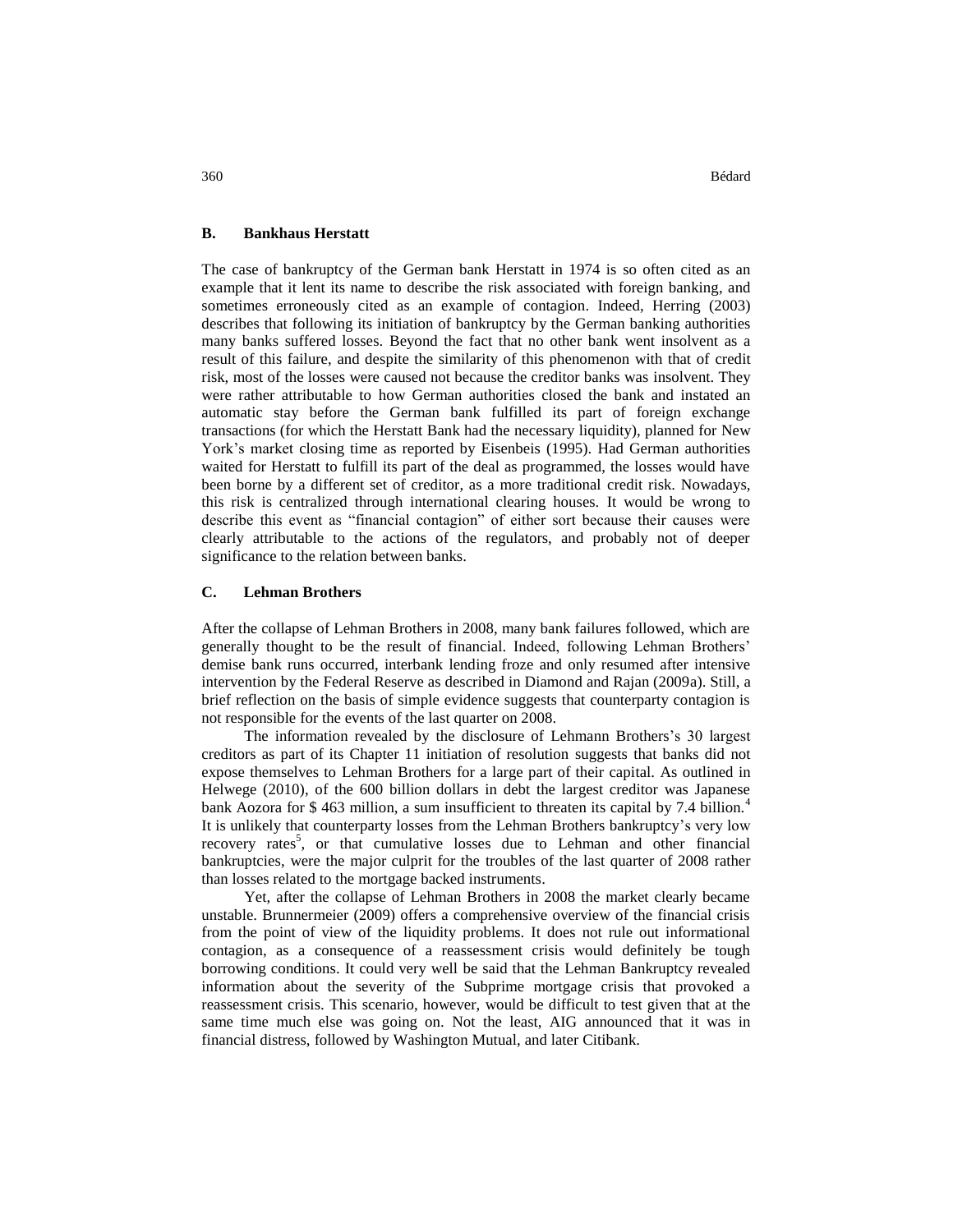## **B. Bankhaus Herstatt**

The case of bankruptcy of the German bank Herstatt in 1974 is so often cited as an example that it lent its name to describe the risk associated with foreign banking, and sometimes erroneously cited as an example of contagion. Indeed, Herring (2003) describes that following its initiation of bankruptcy by the German banking authorities many banks suffered losses. Beyond the fact that no other bank went insolvent as a result of this failure, and despite the similarity of this phenomenon with that of credit risk, most of the losses were caused not because the creditor banks was insolvent. They were rather attributable to how German authorities closed the bank and instated an automatic stay before the German bank fulfilled its part of foreign exchange transactions (for which the Herstatt Bank had the necessary liquidity), planned for New York's market closing time as reported by Eisenbeis (1995). Had German authorities waited for Herstatt to fulfill its part of the deal as programmed, the losses would have been borne by a different set of creditor, as a more traditional credit risk. Nowadays, this risk is centralized through international clearing houses. It would be wrong to describe this event as "financial contagion" of either sort because their causes were clearly attributable to the actions of the regulators, and probably not of deeper significance to the relation between banks.

## **C. Lehman Brothers**

After the collapse of Lehman Brothers in 2008, many bank failures followed, which are generally thought to be the result of financial. Indeed, following Lehman Brothers' demise bank runs occurred, interbank lending froze and only resumed after intensive intervention by the Federal Reserve as described in Diamond and Rajan (2009a). Still, a brief reflection on the basis of simple evidence suggests that counterparty contagion is not responsible for the events of the last quarter on 2008.

The information revealed by the disclosure of Lehmann Brothers's 30 largest creditors as part of its Chapter 11 initiation of resolution suggests that banks did not expose themselves to Lehman Brothers for a large part of their capital. As outlined in Helwege (2010), of the 600 billion dollars in debt the largest creditor was Japanese bank Aozora for \$463 million, a sum insufficient to threaten its capital by 7.4 billion. It is unlikely that counterparty losses from the Lehman Brothers bankruptcy's very low recovery rates<sup>5</sup>, or that cumulative losses due to Lehman and other financial bankruptcies, were the major culprit for the troubles of the last quarter of 2008 rather than losses related to the mortgage backed instruments.

Yet, after the collapse of Lehman Brothers in 2008 the market clearly became unstable. Brunnermeier (2009) offers a comprehensive overview of the financial crisis from the point of view of the liquidity problems. It does not rule out informational contagion, as a consequence of a reassessment crisis would definitely be tough borrowing conditions. It could very well be said that the Lehman Bankruptcy revealed information about the severity of the Subprime mortgage crisis that provoked a reassessment crisis. This scenario, however, would be difficult to test given that at the same time much else was going on. Not the least, AIG announced that it was in financial distress, followed by Washington Mutual, and later Citibank.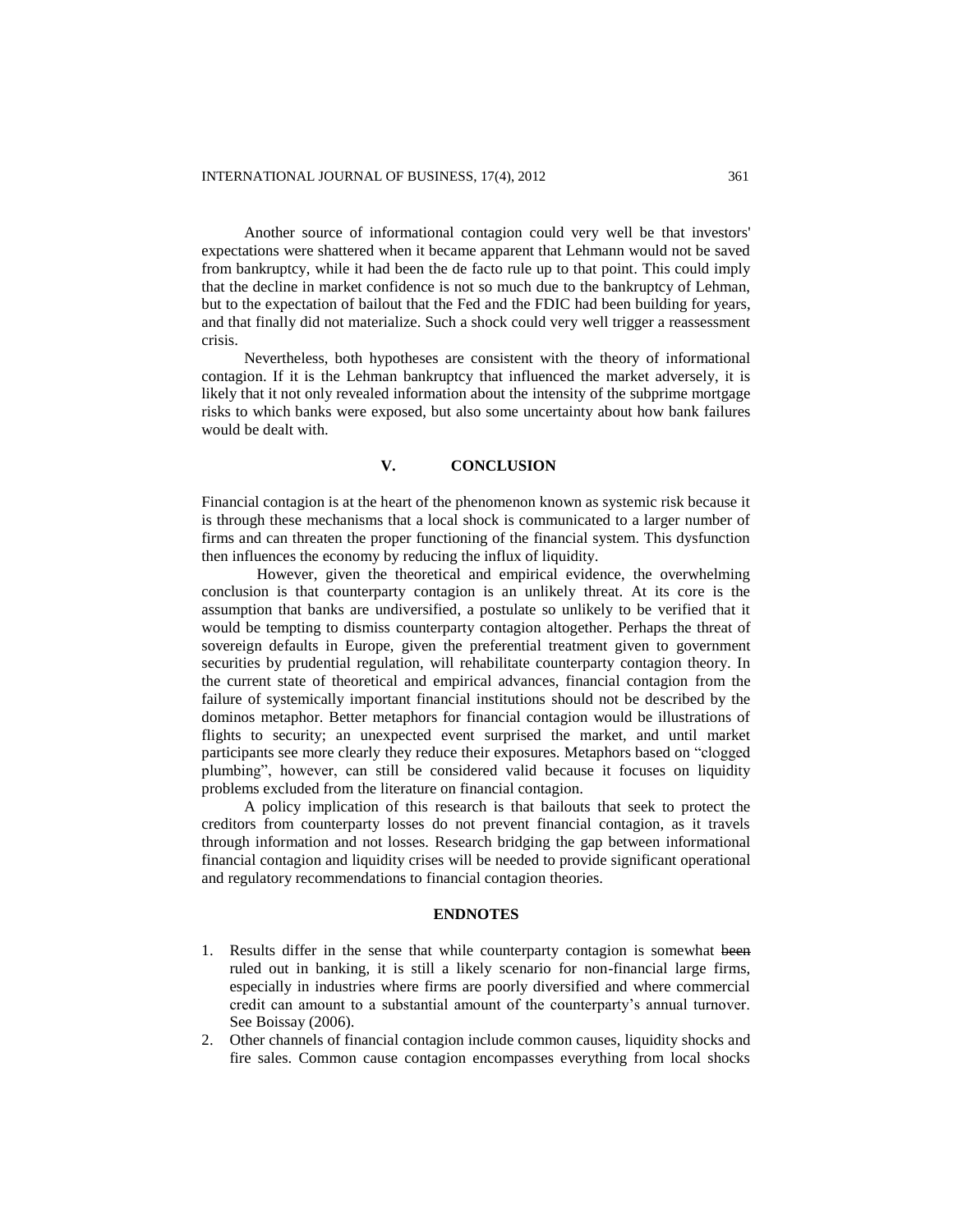Another source of informational contagion could very well be that investors' expectations were shattered when it became apparent that Lehmann would not be saved from bankruptcy, while it had been the de facto rule up to that point. This could imply that the decline in market confidence is not so much due to the bankruptcy of Lehman, but to the expectation of bailout that the Fed and the FDIC had been building for years, and that finally did not materialize. Such a shock could very well trigger a reassessment crisis.

Nevertheless, both hypotheses are consistent with the theory of informational contagion. If it is the Lehman bankruptcy that influenced the market adversely, it is likely that it not only revealed information about the intensity of the subprime mortgage risks to which banks were exposed, but also some uncertainty about how bank failures would be dealt with.

## **V. CONCLUSION**

Financial contagion is at the heart of the phenomenon known as systemic risk because it is through these mechanisms that a local shock is communicated to a larger number of firms and can threaten the proper functioning of the financial system. This dysfunction then influences the economy by reducing the influx of liquidity.

However, given the theoretical and empirical evidence, the overwhelming conclusion is that counterparty contagion is an unlikely threat. At its core is the assumption that banks are undiversified, a postulate so unlikely to be verified that it would be tempting to dismiss counterparty contagion altogether. Perhaps the threat of sovereign defaults in Europe, given the preferential treatment given to government securities by prudential regulation, will rehabilitate counterparty contagion theory. In the current state of theoretical and empirical advances, financial contagion from the failure of systemically important financial institutions should not be described by the dominos metaphor. Better metaphors for financial contagion would be illustrations of flights to security; an unexpected event surprised the market, and until market participants see more clearly they reduce their exposures. Metaphors based on "clogged plumbing", however, can still be considered valid because it focuses on liquidity problems excluded from the literature on financial contagion.

A policy implication of this research is that bailouts that seek to protect the creditors from counterparty losses do not prevent financial contagion, as it travels through information and not losses. Research bridging the gap between informational financial contagion and liquidity crises will be needed to provide significant operational and regulatory recommendations to financial contagion theories.

## **ENDNOTES**

- 1. Results differ in the sense that while counterparty contagion is somewhat been ruled out in banking, it is still a likely scenario for non-financial large firms, especially in industries where firms are poorly diversified and where commercial credit can amount to a substantial amount of the counterparty's annual turnover. See Boissay (2006).
- 2. Other channels of financial contagion include common causes, liquidity shocks and fire sales. Common cause contagion encompasses everything from local shocks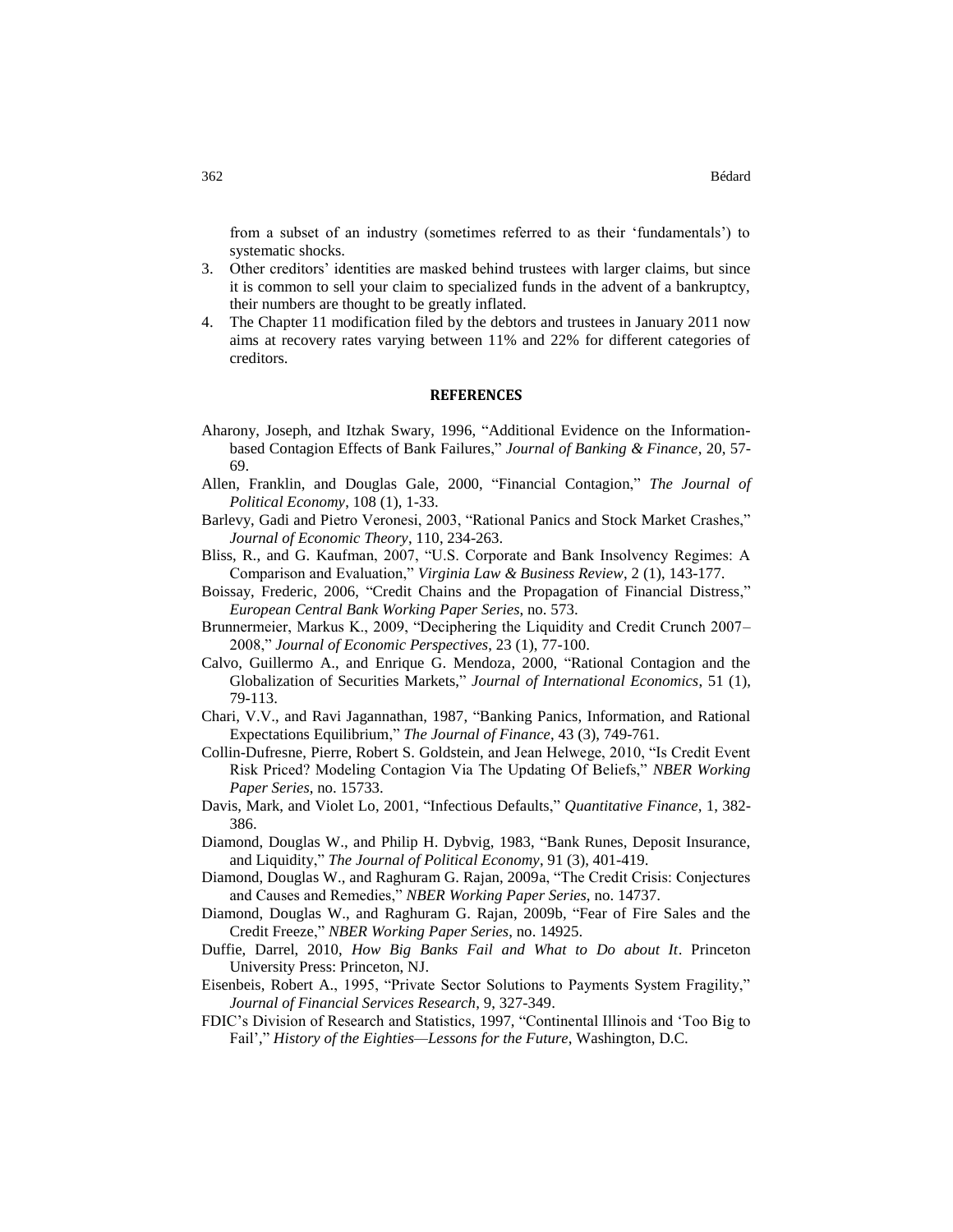from a subset of an industry (sometimes referred to as their 'fundamentals') to systematic shocks.

- 3. Other creditors' identities are masked behind trustees with larger claims, but since it is common to sell your claim to specialized funds in the advent of a bankruptcy, their numbers are thought to be greatly inflated.
- 4. The Chapter 11 modification filed by the debtors and trustees in January 2011 now aims at recovery rates varying between 11% and 22% for different categories of creditors.

## **REFERENCES**

- Aharony, Joseph, and Itzhak Swary, 1996, "Additional Evidence on the Informationbased Contagion Effects of Bank Failures," *Journal of Banking & Finance*, 20, 57- 69.
- Allen, Franklin, and Douglas Gale, 2000, "Financial Contagion," *The Journal of Political Economy*, 108 (1), 1-33.
- Barlevy, Gadi and Pietro Veronesi, 2003, "Rational Panics and Stock Market Crashes," *Journal of Economic Theory*, 110, 234-263.
- Bliss, R., and G. Kaufman, 2007, "U.S. Corporate and Bank Insolvency Regimes: A Comparison and Evaluation," *Virginia Law & Business Review*, 2 (1), 143-177.
- Boissay, Frederic, 2006, "Credit Chains and the Propagation of Financial Distress," *European Central Bank Working Paper Series*, no. 573.
- Brunnermeier, Markus K., 2009, "Deciphering the Liquidity and Credit Crunch 2007– 2008," *Journal of Economic Perspectives*, 23 (1), 77-100.
- Calvo, Guillermo A., and Enrique G. Mendoza, 2000, "Rational Contagion and the Globalization of Securities Markets," *Journal of International Economics*, 51 (1), 79-113.
- Chari, V.V., and Ravi Jagannathan, 1987, "Banking Panics, Information, and Rational Expectations Equilibrium," *The Journal of Finance*, 43 (3), 749-761.
- Collin-Dufresne, Pierre, Robert S. Goldstein, and Jean Helwege, 2010, "Is Credit Event Risk Priced? Modeling Contagion Via The Updating Of Beliefs," *NBER Working Paper Series*, no. 15733.
- Davis, Mark, and Violet Lo, 2001, "Infectious Defaults," *Quantitative Finance*, 1, 382- 386.
- Diamond, Douglas W., and Philip H. Dybvig, 1983, "Bank Runes, Deposit Insurance, and Liquidity," *The Journal of Political Economy*, 91 (3), 401-419.
- Diamond, Douglas W., and Raghuram G. Rajan, 2009a, "The Credit Crisis: Conjectures and Causes and Remedies," *NBER Working Paper Series*, no. 14737.
- Diamond, Douglas W., and Raghuram G. Rajan, 2009b, "Fear of Fire Sales and the Credit Freeze," *NBER Working Paper Series*, no. 14925.
- Duffie, Darrel, 2010, *How Big Banks Fail and What to Do about It*. Princeton University Press: Princeton, NJ.
- Eisenbeis, Robert A., 1995, "Private Sector Solutions to Payments System Fragility," *Journal of Financial Services Research*, 9, 327-349.
- FDIC's Division of Research and Statistics, 1997, "Continental Illinois and 'Too Big to Fail'," *History of the Eighties—Lessons for the Future*, Washington, D.C.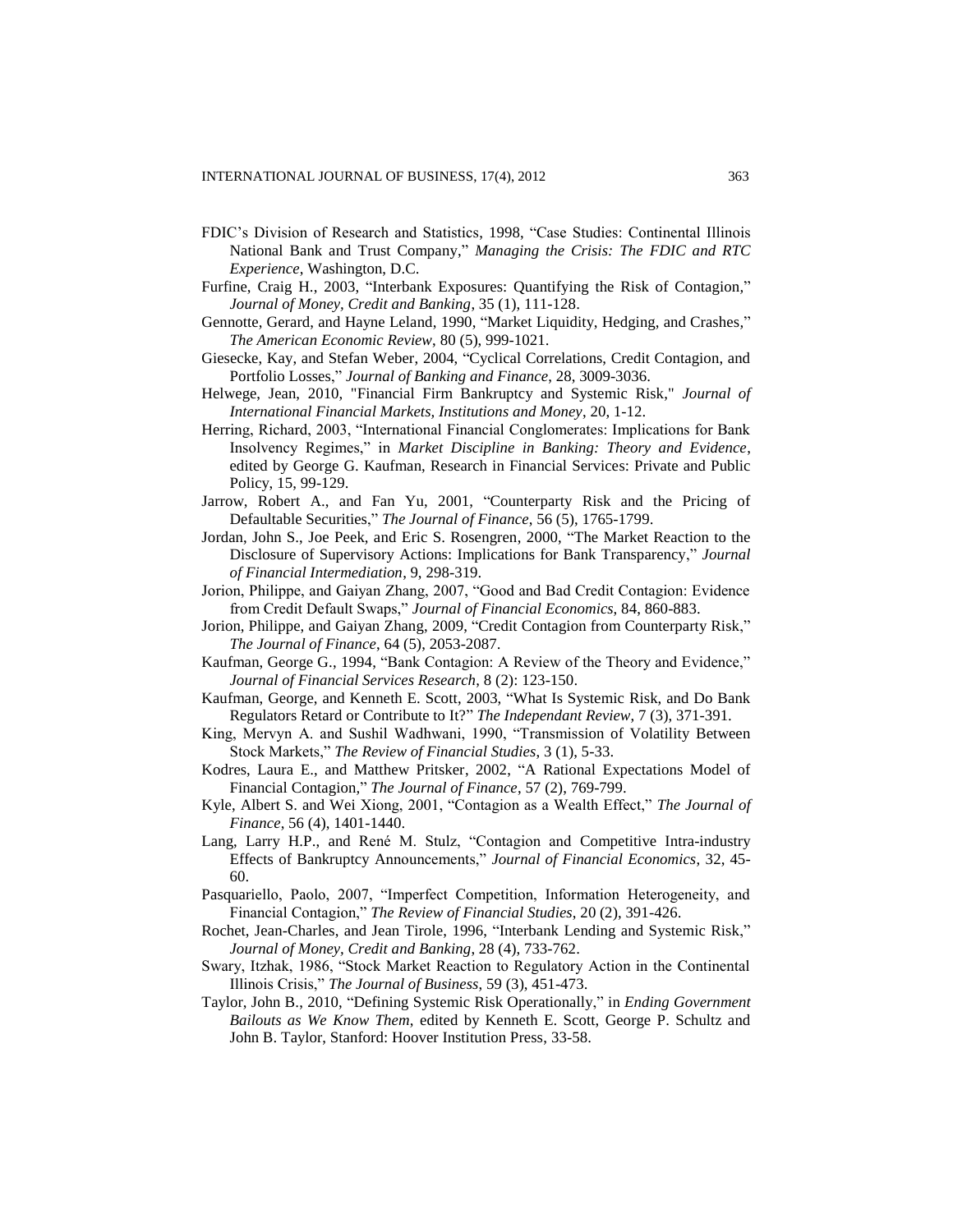- FDIC's Division of Research and Statistics, 1998, "Case Studies: Continental Illinois National Bank and Trust Company," *Managing the Crisis: The FDIC and RTC Experience*, Washington, D.C.
- Furfine, Craig H., 2003, "Interbank Exposures: Quantifying the Risk of Contagion*,*" *Journal of Money, Credit and Banking*, 35 (1), 111-128.
- Gennotte, Gerard, and Hayne Leland, 1990, "Market Liquidity, Hedging, and Crashes*,*" *The American Economic Review*, 80 (5), 999-1021.
- Giesecke, Kay, and Stefan Weber, 2004, "Cyclical Correlations, Credit Contagion, and Portfolio Losses," *Journal of Banking and Finance*, 28, 3009-3036.
- Helwege, Jean, 2010, "Financial Firm Bankruptcy and Systemic Risk," *Journal of International Financial Markets, Institutions and Money*, 20, 1-12.
- Herring, Richard, 2003, "International Financial Conglomerates: Implications for Bank Insolvency Regimes," in *Market Discipline in Banking: Theory and Evidence*, edited by George G. Kaufman, Research in Financial Services: Private and Public Policy, 15, 99-129.
- Jarrow, Robert A., and Fan Yu, 2001, "Counterparty Risk and the Pricing of Defaultable Securities," *The Journal of Finance*, 56 (5), 1765-1799.
- Jordan, John S., Joe Peek, and Eric S. Rosengren, 2000, "The Market Reaction to the Disclosure of Supervisory Actions: Implications for Bank Transparency," *Journal of Financial Intermediation*, 9, 298-319.
- Jorion, Philippe, and Gaiyan Zhang, 2007, "Good and Bad Credit Contagion: Evidence from Credit Default Swaps," *Journal of Financial Economics*, 84, 860-883.
- Jorion, Philippe, and Gaiyan Zhang, 2009, "Credit Contagion from Counterparty Risk," *The Journal of Finance*, 64 (5), 2053-2087.
- Kaufman, George G., 1994, "Bank Contagion: A Review of the Theory and Evidence," *Journal of Financial Services Research*, 8 (2): 123-150.
- Kaufman, George, and Kenneth E. Scott, 2003, "What Is Systemic Risk, and Do Bank Regulators Retard or Contribute to It?" *The Independant Review*, 7 (3), 371-391.
- King, Mervyn A. and Sushil Wadhwani, 1990, "Transmission of Volatility Between Stock Markets," *The Review of Financial Studies*, 3 (1), 5-33.
- Kodres, Laura E., and Matthew Pritsker, 2002, "A Rational Expectations Model of Financial Contagion*,*" *The Journal of Finance*, 57 (2), 769-799.
- Kyle, Albert S. and Wei Xiong, 2001, "Contagion as a Wealth Effect," *The Journal of Finance*, 56 (4), 1401-1440.
- Lang, Larry H.P., and René M. Stulz, "Contagion and Competitive Intra-industry Effects of Bankruptcy Announcements," *Journal of Financial Economics*, 32, 45- 60.
- Pasquariello, Paolo, 2007, "Imperfect Competition, Information Heterogeneity, and Financial Contagion," *The Review of Financial Studies*, 20 (2), 391-426.
- Rochet, Jean-Charles, and Jean Tirole, 1996, "Interbank Lending and Systemic Risk," *Journal of Money, Credit and Banking*, 28 (4), 733-762.
- Swary, Itzhak, 1986, "Stock Market Reaction to Regulatory Action in the Continental Illinois Crisis," *The Journal of Business*, 59 (3), 451-473.
- Taylor, John B., 2010, "Defining Systemic Risk Operationally," in *Ending Government Bailouts as We Know Them*, edited by Kenneth E. Scott, George P. Schultz and John B. Taylor, Stanford: Hoover Institution Press, 33-58.